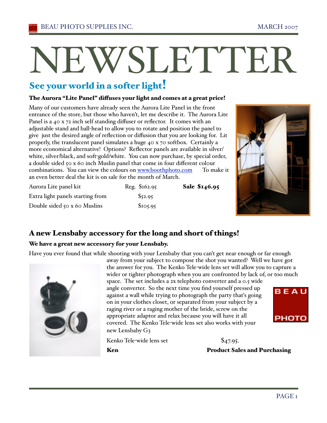# NEWSLETTER

# See your world in a softer light!

#### The Aurora "Lite Panel" diffuses your light and comes at a great price!

Many of our customers have already seen the Aurora Lite Panel in the front entrance of the store, but those who haven't, let me describe it. The Aurora Lite Panel is a 40 x 72 inch self standing diffuser or reflector. It comes with an adjustable stand and ball-head to allow you to rotate and position the panel to give just the desired angle of reflection or diffusion that you are looking for. Lit properly, the translucent panel simulates a huge 40 x 70 softbox. Certainly a more economical alternative! Options? Reflector panels are available in silver/ white, silver/black, and soft-gold/white. You can now purchase, by special order, a double sided 50 x 60 inch Muslin panel that come in four different colour combinations. You can view the colours on www.boothphoto.com To make it an even better deal the kit is on sale for the month of March.

| Aurora Lite panel kit               | Reg. \$162.95 | Sale \$146.95 |
|-------------------------------------|---------------|---------------|
| Extra light panels starting from    | \$52.95       |               |
| Double sided $50 \times 60$ Muslins | \$105.95      |               |



## A new Lensbaby accessory for the long and short of things!

#### We have a great new accessory for your Lensbaby.

Have you ever found that while shooting with your Lensbaby that you can't get near enough or far enough



away from your subject to compose the shot you wanted? Well we have got the answer for you. The Kenko Tele-wide lens set will allow you to capture a wider or tighter photograph when you are confronted by lack of, or too much space. The set includes a 2x telephoto converter and a 0.5 wide angle converter. So the next time you find yourself pressed up BEAU against a wall while trying to photograph the party thaťs going on in your clothes closet, or separated from your subject by a raging river or a raging mother of the bride, screw on the appropriate adaptor and relax because you will have it all **PHOTO** covered. The Kenko Tele-wide lens set also works with your new Lensbaby G3

Kenko Tele-wide lens set \$47.95.

Ken **Product Sales and Purchasing**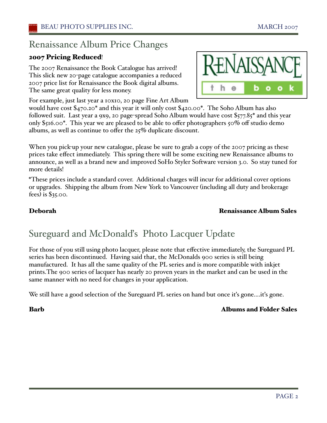# Renaissance Album Price Changes

## 2007 Pricing Reduced!

The 2007 Renaissance the Book Catalogue has arrived! This slick new 20-page catalogue accompanies a reduced 2007 price list for Renaissance the Book digital albums. The same great quality for less money.

For example, just last year a 10x10, 20 page Fine Art Album

would have cost \$470.20\* and this year it will only cost \$420.00\*. The Soho Album has also followed suit. Last year a 9x9, 20 page-spread Soho Album would have cost \$577.85\* and this year only \$516.00\*. This year we are pleased to be able to offer photographers 50% off studio demo albums, as well as continue to offer the 25% duplicate discount.

When you pick-up your new catalogue, please be sure to grab a copy of the 2007 pricing as these prices take effect immediately. This spring there will be some exciting new Renaissance albums to announce, as well as a brand new and improved SoHo Styler Software version 3.0. So stay tuned for more details!

\*These prices include a standard cover. Additional charges will incur for additional cover options or upgrades. Shipping the album from New York to Vancouver (including all duty and brokerage fees) is \$35.00.

#### Deborah Renaissance Album Sales

# Sureguard and McDonalďs Photo Lacquer Update

For those of you still using photo lacquer, please note that effective immediately, the Sureguard PL series has been discontinued. Having said that, the McDonalds 900 series is still being manufactured. It has all the same quality of the PL series and is more compatible with inkjet prints.The 900 series of lacquer has nearly 20 proven years in the market and can be used in the same manner with no need for changes in your application.

We still have a good selection of the Sureguard PL series on hand but once it's gone....it's gone.

#### Barb Albums and Folder Sales

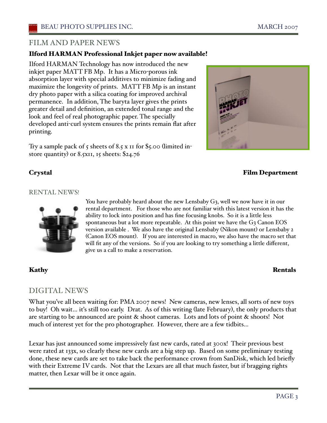## FILM AND PAPER NEWS

#### Ilford HARMAN Professional Inkjet paper now available!

Ilford HARMAN Technology has now introduced the new inkjet paper MATT FB Mp. It has a Micro-porous ink absorption layer with special additives to minimize fading and maximize the longevity of prints. MATT FB Mp is an instant dry photo paper with a silica coating for improved archival permanence. In addition, The baryta layer gives the prints greater detail and definition, an extended tonal range and the look and feel of real photographic paper. The specially developed anti-curl system ensures the prints remain flat after printing.

Try a sample pack of 5 sheets of 8.5 x  $\overline{11}$  for \$5.00 (limited instore quantity) or 8.5x11, 15 sheets: \$24.76



#### Crystal Film Department

#### RENTAL NEWS!



You have probably heard about the new Lensbaby G3, well we now have it in our rental department. For those who are not familiar with this latest version it has the ability to lock into position and has fine focusing knobs. So it is a little less spontaneous but a lot more repeatable. At this point we have the  $G_3$  Canon EOS version available . We also have the original Lensbaby (Nikon mount) or Lensbaby 2 (Canon EOS mount). If you are interested in macro, we also have the macro set that will fit any of the versions. So if you are looking to try something a little different, give us a call to make a reservation.

#### Kathy Rentals

#### DIGITAL NEWS

What you've all been waiting for: PMA 2007 news! New cameras, new lenses, all sorts of new toys to buy! Oh wait… iťs still too early. Drat. As of this writing (late February), the only products that are starting to be announced are point & shoot cameras. Lots and lots of point & shoots! Not much of interest yet for the pro photographer. However, there are a few tidbits…

Lexar has just announced some impressively fast new cards, rated at 300x! Their previous best were rated at 133x, so clearly these new cards are a big step up. Based on some preliminary testing done, these new cards are set to take back the performance crown from SanDisk, which led briefly with their Extreme IV cards. Not that the Lexars are all that much faster, but if bragging rights matter, then Lexar will be it once again.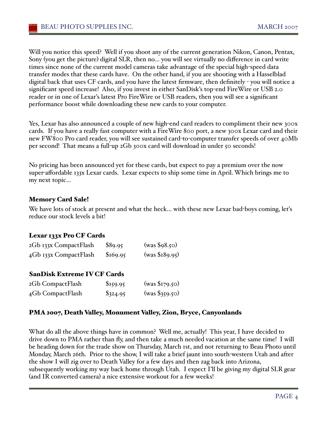Will you notice this speed? Well if you shoot any of the current generation Nikon, Canon, Pentax, Sony (you get the picture) digital SLR, then no… you will see virtually no difference in card write times since none of the current model cameras take advantage of the special high-speed data transfer modes that these cards have. On the other hand, if you are shooting with a Hasselblad digital back that uses CF cards, and you have the latest firmware, then definitely - you will notice a significant speed increase! Also, if you invest in either SanDisk's top-end FireWire or USB 2.0 reader or in one of Lexar's latest Pro FireWire or USB readers, then you will see a significant performance boost while downloading these new cards to your computer.

Yes, Lexar has also announced a couple of new high-end card readers to compliment their new 300x cards. If you have a really fast computer with a FireWire 800 port, a new 300x Lexar card and their new FW800 Pro card reader, you will see sustained card-to-computer transfer speeds of over 40Mb per second! That means a full-up 2Gb 300x card will download in under 50 seconds!

No pricing has been announced yet for these cards, but expect to pay a premium over the now super-affordable 133x Lexar cards. Lexar expects to ship some time in April. Which brings me to my next topic…

#### Memory Card Sale!

We have lots of stock at present and what the heck... with these new Lexar bad-boys coming, let's reduce our stock levels a bit!

#### Lexar 133x Pro CF Cards

| 2Gb 133x CompactFlash | \$89.95  | (was \$98.50)  |
|-----------------------|----------|----------------|
| 4Gb 133x CompactFlash | \$169.95 | (was \$189.95) |

#### SanDisk Extreme IV CF Cards

| 2Gb CompactFlash | \$159.95   | (was \$179.50) |
|------------------|------------|----------------|
| 4Gb CompactFlash | $\$324.95$ | (was \$359.50) |

#### PMA 2007, Death Valley, Monument Valley, Zion, Bryce, Canyonlands

What do all the above things have in common? Well me, actually! This year, I have decided to drive down to PMA rather than fly, and then take a much needed vacation at the same time! I will be heading down for the trade show on Thursday, March 1st, and not returning to Beau Photo until Monday, March 26th. Prior to the show, I will take a brief jaunt into south-western Utah and after the show I will zig over to Death Valley for a few days and then zag back into Arizona, subsequently working my way back home through Utah. I expect I'll be giving my digital SLR gear (and IR converted camera) a nice extensive workout for a few weeks!